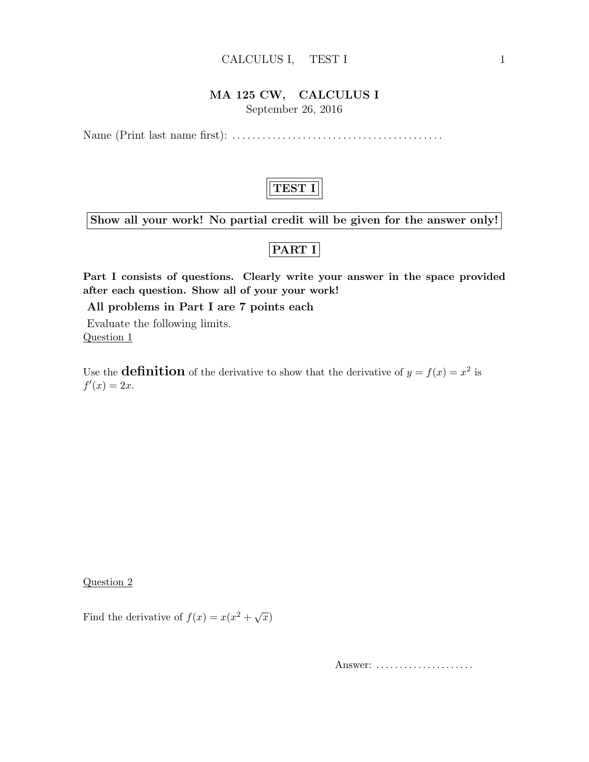#### CALCULUS I, TEST I 1

### MA 125 CW, CALCULUS I

September 26, 2016

Name (Print last name first): . . . . . . . . . . . . . . . . . . . . . . . . . . . . . . . . . . . . . . . . . .



Show all your work! No partial credit will be given for the answer only!

## PART I

Part I consists of questions. Clearly write your answer in the space provided after each question. Show all of your your work!

All problems in Part I are 7 points each

Evaluate the following limits. Question 1

Use the **definition** of the derivative to show that the derivative of  $y = f(x) = x^2$  is  $f'(x) = 2x$ .

Question 2

Find the derivative of  $f(x) = x(x^2 + \sqrt{x})$ 

Answer: .....................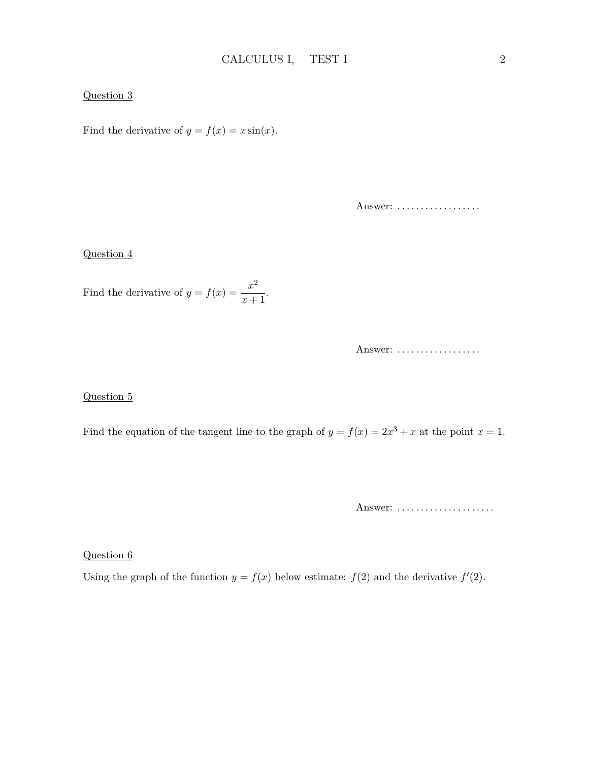#### Question 3

Find the derivative of  $y = f(x) = x \sin(x)$ .

Answer: ..................

#### Question 4

Find the derivative of  $y = f(x) = \frac{x^2}{x^2}$  $\frac{x}{x+1}.$ 

Answer: ..................

#### Question 5

Find the equation of the tangent line to the graph of  $y = f(x) = 2x^3 + x$  at the point  $x = 1$ .

Answer: ......................

Question 6

Using the graph of the function  $y = f(x)$  below estimate:  $f(2)$  and the derivative  $f'(2)$ .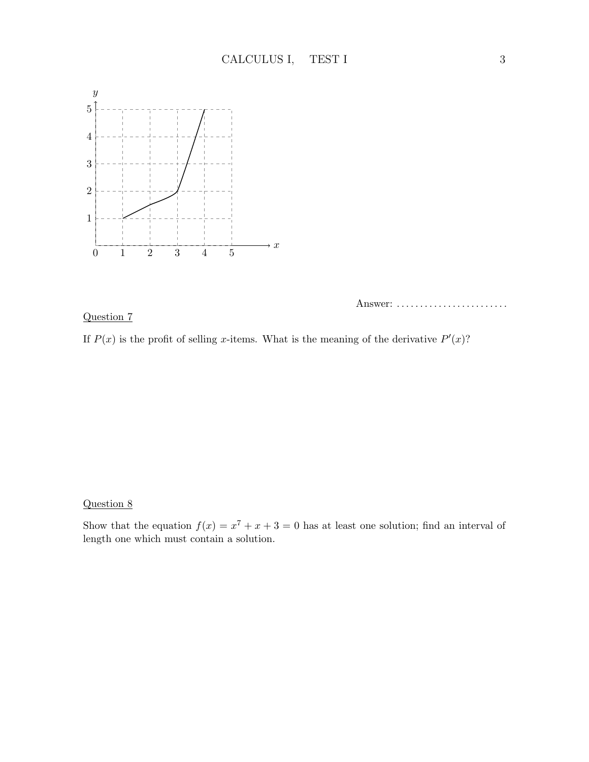

#### Question 7

Answer: .........................

If  $P(x)$  is the profit of selling x-items. What is the meaning of the derivative  $P'(x)$ ?

### Question 8

Show that the equation  $f(x) = x^7 + x + 3 = 0$  has at least one solution; find an interval of length one which must contain a solution.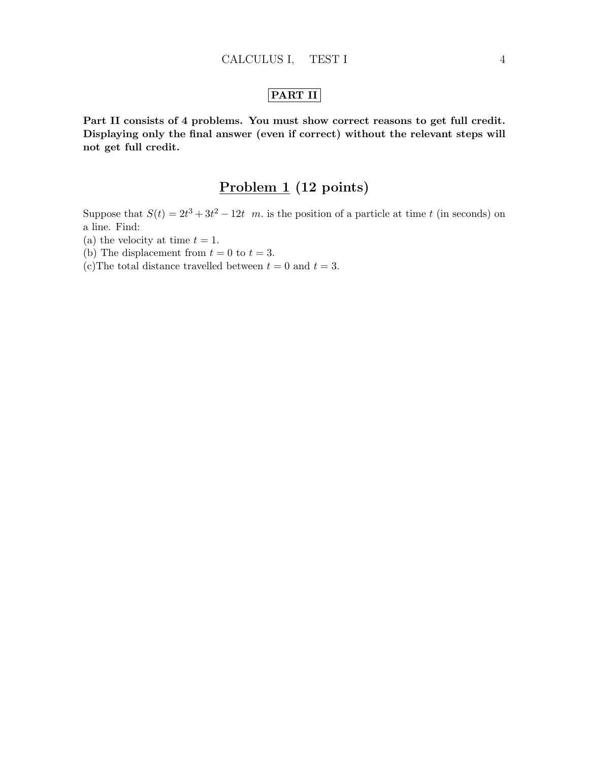## PART II

Part II consists of 4 problems. You must show correct reasons to get full credit. Displaying only the final answer (even if correct) without the relevant steps will not get full credit.

# Problem 1 (12 points)

Suppose that  $S(t) = 2t^3 + 3t^2 - 12t$  m. is the position of a particle at time t (in seconds) on a line. Find:

- (a) the velocity at time  $t = 1$ .
- (b) The displacement from  $t = 0$  to  $t = 3$ .
- (c) The total distance travelled between  $t = 0$  and  $t = 3$ .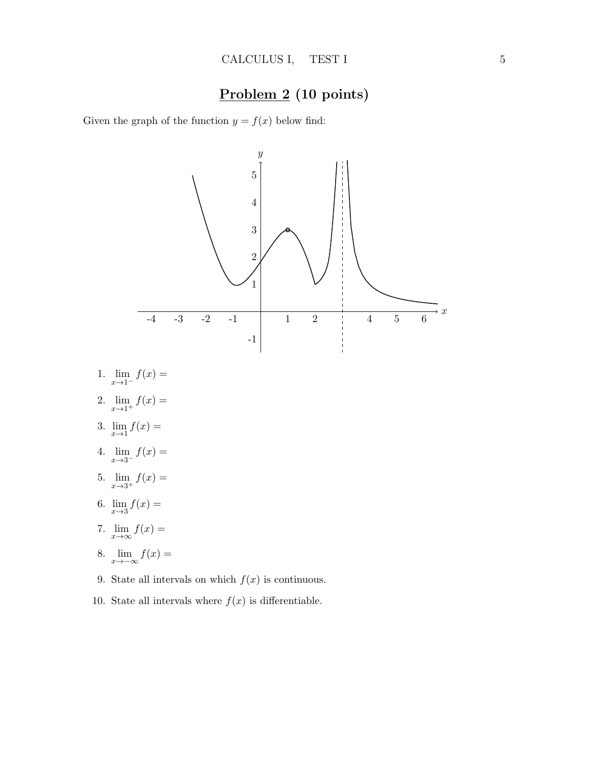## Problem 2 (10 points)

Given the graph of the function  $y = f(x)$  below find:



- 1.  $\lim_{x \to 1^{-}} f(x) =$
- 2.  $\lim_{x \to 1^+} f(x) =$
- 3.  $\lim_{x \to 1} f(x) =$
- 4.  $\lim_{x \to 3^{-}} f(x) =$
- 5.  $\lim_{x \to 3^+} f(x) =$
- 6.  $\lim_{x \to 3} f(x) =$
- 7.  $\lim_{x\to\infty}f(x) =$
- 8.  $\lim_{x \to -\infty} f(x) =$
- 9. State all intervals on which  $f(x)$  is continuous.
- 10. State all intervals where  $f(x)$  is differentiable.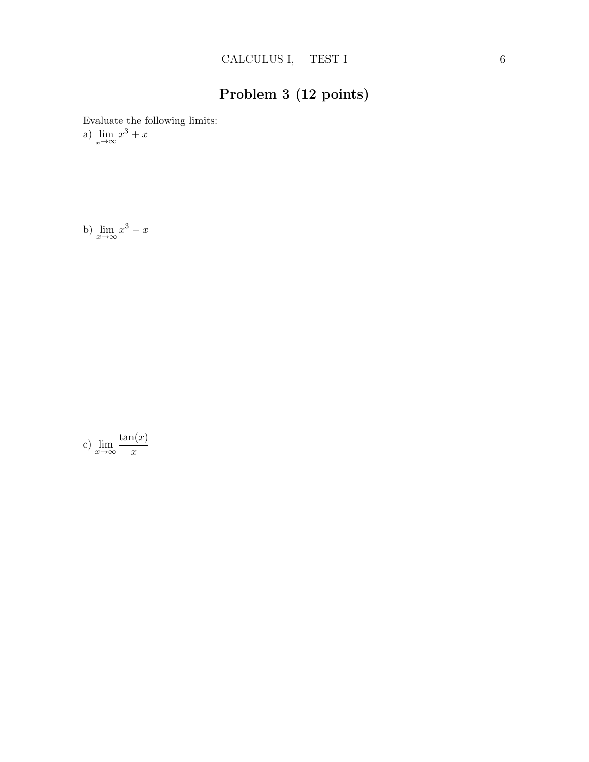# Problem 3 (12 points)

Evaluate the following limits:

a)  $\lim_{x \to \infty} x^3 + x$ 

b)  $\lim_{x \to \infty} x^3 - x$ 

c)  $\lim_{x \to \infty} \frac{\tan(x)}{x}$  $\boldsymbol{x}$